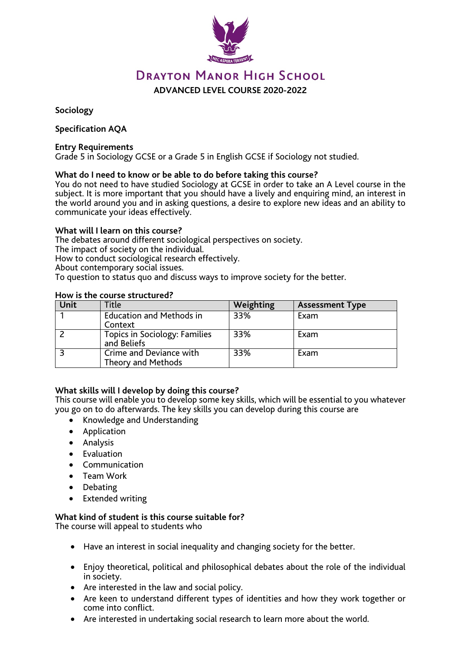

# **DRAYTON MANOR HIGH SCHOOL**

**ADVANCED LEVEL COURSE 2020-2022**

**Sociology**

## **Specification AQA**

#### **Entry Requirements**

Grade 5 in Sociology GCSE or a Grade 5 in English GCSE if Sociology not studied.

#### **What do I need to know or be able to do before taking this course?**

You do not need to have studied Sociology at GCSE in order to take an A Level course in the subject. It is more important that you should have a lively and enquiring mind, an interest in the world around you and in asking questions, a desire to explore new ideas and an ability to communicate your ideas effectively.

#### **What will I learn on this course?**

The debates around different sociological perspectives on society.

The impact of society on the individual.

How to conduct sociological research effectively.

About contemporary social issues.

To question to status quo and discuss ways to improve society for the better.

#### **How is the course structured?**

| Unit | Title                                         | Weighting | <b>Assessment Type</b> |
|------|-----------------------------------------------|-----------|------------------------|
|      | <b>Education and Methods in</b><br>Context    | 33%       | Exam                   |
|      | Topics in Sociology: Families<br>and Beliefs  | 33%       | Exam                   |
|      | Crime and Deviance with<br>Theory and Methods | 33%       | Exam                   |

#### **What skills will I develop by doing this course?**

This course will enable you to develop some key skills, which will be essential to you whatever you go on to do afterwards. The key skills you can develop during this course are

- Knowledge and Understanding
- Application
- Analysis
- Evaluation
- Communication
- Team Work
- **Debating**
- Extended writing

# **What kind of student is this course suitable for?**

The course will appeal to students who

- Have an interest in social inequality and changing society for the better.
- Enjoy theoretical, political and philosophical debates about the role of the individual in society.
- Are interested in the law and social policy.
- Are keen to understand different types of identities and how they work together or come into conflict.
- Are interested in undertaking social research to learn more about the world.